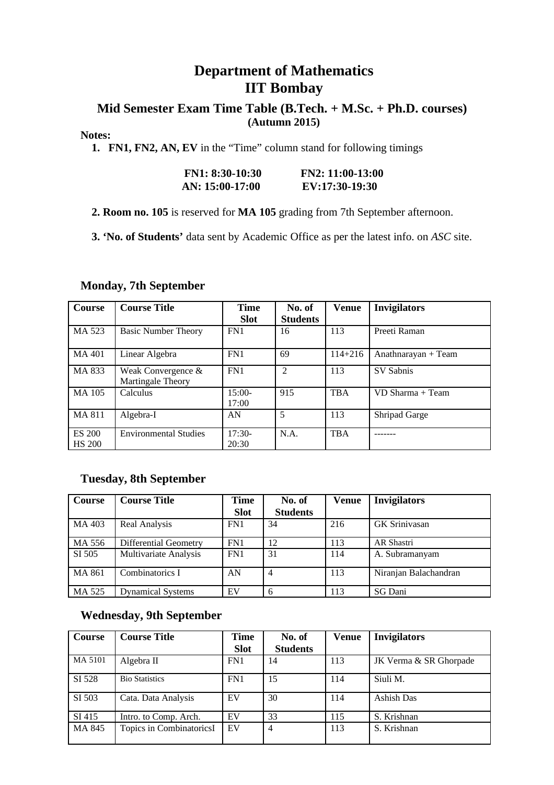## **Department of Mathematics IIT Bombay**

### **Mid Semester Exam Time Table (B.Tech. + M.Sc. + Ph.D. courses) (Autumn 2015)**

#### **Notes:**

 **1. FN1, FN2, AN, EV** in the "Time" column stand for following timings

| $FN1: 8:30-10:30$ | $FN2: 11:00-13:00$ |
|-------------------|--------------------|
| AN: 15:00-17:00   | EV:17:30-19:30     |

 **2. Room no. 105** is reserved for **MA 105** grading from 7th September afternoon.

 **3. 'No. of Students'** data sent by Academic Office as per the latest info. on *ASC* site.

| Course                         | <b>Course Title</b>                     | Time              | No. of          | <b>Venue</b> | <b>Invigilators</b> |
|--------------------------------|-----------------------------------------|-------------------|-----------------|--------------|---------------------|
|                                |                                         | <b>Slot</b>       | <b>Students</b> |              |                     |
| MA 523                         | <b>Basic Number Theory</b>              | FN1               | 16              | 113          | Preeti Raman        |
| MA 401                         | Linear Algebra                          | FN <sub>1</sub>   | 69              | 114+216      | Anathnarayan + Team |
| MA 833                         | Weak Convergence &<br>Martingale Theory | FN1               | $\overline{2}$  | 113          | SV Sabnis           |
| MA 105                         | Calculus                                | $15:00-$<br>17:00 | 915             | <b>TBA</b>   | VD Sharma + Team    |
| MA 811                         | Algebra-I                               | AN                | 5               | 113          | Shripad Garge       |
| <b>ES 200</b><br><b>HS 200</b> | <b>Environmental Studies</b>            | $17:30-$<br>20:30 | N.A.            | <b>TBA</b>   |                     |

#### **Monday, 7th September**

#### **Tuesday, 8th September**

| Course | <b>Course Title</b>          | <b>Time</b> | No. of          | <b>Venue</b> | <b>Invigilators</b>   |
|--------|------------------------------|-------------|-----------------|--------------|-----------------------|
|        |                              | <b>Slot</b> | <b>Students</b> |              |                       |
| MA 403 | Real Analysis                | FN1         | 34              | 216          | <b>GK Srinivasan</b>  |
| MA 556 | <b>Differential Geometry</b> | FN1         | 12              | 113          | AR Shastri            |
| SI 505 | <b>Multivariate Analysis</b> | FN1         | 31              | 114          | A. Subramanyam        |
| MA 861 | Combinatorics I              | AN          | $\overline{4}$  | 113          | Niranjan Balachandran |
| MA 525 | <b>Dynamical Systems</b>     | EV          | 6               | 113          | SG Dani               |

#### **Wednesday, 9th September**

| Course  | <b>Course Title</b>      | <b>Time</b> | No. of          | <b>Venue</b> | <b>Invigilators</b>    |
|---------|--------------------------|-------------|-----------------|--------------|------------------------|
|         |                          | <b>Slot</b> | <b>Students</b> |              |                        |
| MA 5101 | Algebra II               | FN1         | 14              | 113          | JK Verma & SR Ghorpade |
| SI 528  | <b>Bio Statistics</b>    | FN1         | 15              | 114          | Siuli M.               |
| SI 503  | Cata. Data Analysis      | EV          | 30              | 114          | Ashish Das             |
| SI 415  | Intro. to Comp. Arch.    | EV          | 33              | 115          | S. Krishnan            |
| MA 845  | Topics in CombinatoricsI | EV          | 4               | 113          | S. Krishnan            |